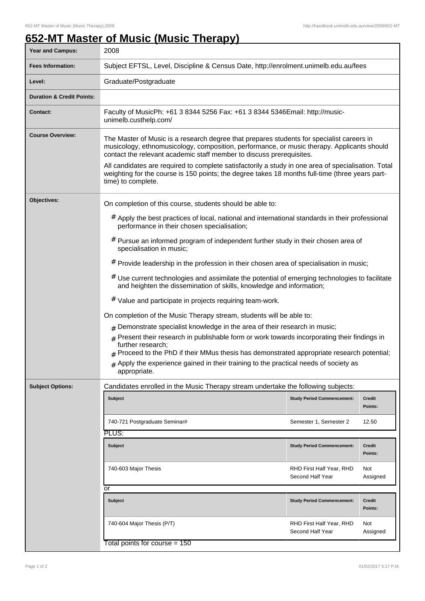## **652-MT Master of Music (Music Therapy)**

| <b>Year and Campus:</b>              | 2008                                                                                                                                                                                                                                                                                                                                                                                                                                                                      |                                              |                   |
|--------------------------------------|---------------------------------------------------------------------------------------------------------------------------------------------------------------------------------------------------------------------------------------------------------------------------------------------------------------------------------------------------------------------------------------------------------------------------------------------------------------------------|----------------------------------------------|-------------------|
| <b>Fees Information:</b>             | Subject EFTSL, Level, Discipline & Census Date, http://enrolment.unimelb.edu.au/fees                                                                                                                                                                                                                                                                                                                                                                                      |                                              |                   |
| Level:                               | Graduate/Postgraduate                                                                                                                                                                                                                                                                                                                                                                                                                                                     |                                              |                   |
| <b>Duration &amp; Credit Points:</b> |                                                                                                                                                                                                                                                                                                                                                                                                                                                                           |                                              |                   |
| <b>Contact:</b>                      | Faculty of MusicPh: +61 3 8344 5256 Fax: +61 3 8344 5346Email: http://music-<br>unimelb.custhelp.com/                                                                                                                                                                                                                                                                                                                                                                     |                                              |                   |
| <b>Course Overview:</b>              | The Master of Music is a research degree that prepares students for specialist careers in<br>musicology, ethnomusicology, composition, performance, or music therapy. Applicants should<br>contact the relevant academic staff member to discuss prerequisites.<br>All candidates are required to complete satisfactorily a study in one area of specialisation. Total<br>weighting for the course is 150 points; the degree takes 18 months full-time (three years part- |                                              |                   |
|                                      | time) to complete.                                                                                                                                                                                                                                                                                                                                                                                                                                                        |                                              |                   |
| Objectives:                          | On completion of this course, students should be able to:                                                                                                                                                                                                                                                                                                                                                                                                                 |                                              |                   |
|                                      | # Apply the best practices of local, national and international standards in their professional<br>performance in their chosen specialisation;                                                                                                                                                                                                                                                                                                                            |                                              |                   |
|                                      | # Pursue an informed program of independent further study in their chosen area of<br>specialisation in music;                                                                                                                                                                                                                                                                                                                                                             |                                              |                   |
|                                      | # Provide leadership in the profession in their chosen area of specialisation in music;                                                                                                                                                                                                                                                                                                                                                                                   |                                              |                   |
|                                      | $#$ Use current technologies and assimilate the potential of emerging technologies to facilitate<br>and heighten the dissemination of skills, knowledge and information;                                                                                                                                                                                                                                                                                                  |                                              |                   |
|                                      | # Value and participate in projects requiring team-work.                                                                                                                                                                                                                                                                                                                                                                                                                  |                                              |                   |
|                                      | On completion of the Music Therapy stream, students will be able to:                                                                                                                                                                                                                                                                                                                                                                                                      |                                              |                   |
|                                      | $#$ Demonstrate specialist knowledge in the area of their research in music;                                                                                                                                                                                                                                                                                                                                                                                              |                                              |                   |
|                                      | $#$ Present their research in publishable form or work towards incorporating their findings in<br>further research;                                                                                                                                                                                                                                                                                                                                                       |                                              |                   |
|                                      | $_{\rm #}$ Proceed to the PhD if their MMus thesis has demonstrated appropriate research potential;                                                                                                                                                                                                                                                                                                                                                                       |                                              |                   |
|                                      | $*$ Apply the experience gained in their training to the practical needs of society as<br>appropriate.                                                                                                                                                                                                                                                                                                                                                                    |                                              |                   |
| <b>Subject Options:</b>              | Candidates enrolled in the Music Therapy stream undertake the following subjects:                                                                                                                                                                                                                                                                                                                                                                                         |                                              |                   |
|                                      | <b>Subject</b>                                                                                                                                                                                                                                                                                                                                                                                                                                                            | <b>Study Period Commencement:</b>            | Credit<br>Points: |
|                                      | 740-721 Postgraduate Seminar#                                                                                                                                                                                                                                                                                                                                                                                                                                             | Semester 1, Semester 2                       | 12.50             |
|                                      | PLUS:                                                                                                                                                                                                                                                                                                                                                                                                                                                                     |                                              |                   |
|                                      | <b>Subject</b>                                                                                                                                                                                                                                                                                                                                                                                                                                                            | <b>Study Period Commencement:</b>            | Credit<br>Points: |
|                                      | 740-603 Major Thesis                                                                                                                                                                                                                                                                                                                                                                                                                                                      | RHD First Half Year, RHD<br>Second Half Year | Not<br>Assigned   |
|                                      | or                                                                                                                                                                                                                                                                                                                                                                                                                                                                        |                                              |                   |
|                                      | <b>Subject</b>                                                                                                                                                                                                                                                                                                                                                                                                                                                            | <b>Study Period Commencement:</b>            | Credit<br>Points: |
|                                      | 740-604 Major Thesis (P/T)                                                                                                                                                                                                                                                                                                                                                                                                                                                | RHD First Half Year, RHD<br>Second Half Year | Not<br>Assigned   |
|                                      | Total points for course = 150                                                                                                                                                                                                                                                                                                                                                                                                                                             |                                              |                   |